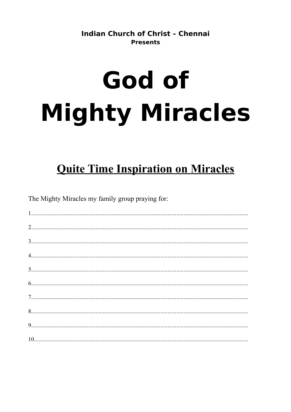**Indian Church of Christ - Chennai Presents** 

# God of **Mighty Miracles**

# **Quite Time Inspiration on Miracles**

The Mighty Miracles my family group praying for: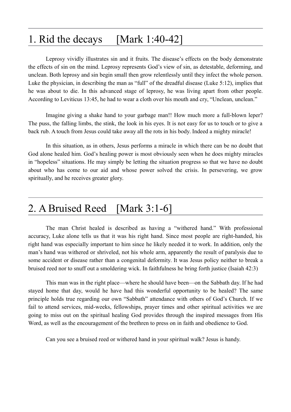#### 1. Rid the decays [Mark 1:40-42]

Leprosy vividly illustrates sin and it fruits. The disease's effects on the body demonstrate the effects of sin on the mind. Leprosy represents God's view of sin, as detestable, deforming, and unclean. Both leprosy and sin begin small then grow relentlessly until they infect the whole person. Luke the physician, in describing the man as "full" of the dreadful disease (Luke 5:12), implies that he was about to die. In this advanced stage of leprosy, he was living apart from other people. According to Leviticus 13:45, he had to wear a cloth over his mouth and cry, "Unclean, unclean."

Imagine giving a shake hand to your garbage man!! How much more a full-blown leper? The puss, the falling limbs, the stink, the look in his eyes. It is not easy for us to touch or to give a back rub. A touch from Jesus could take away all the rots in his body. Indeed a mighty miracle!

In this situation, as in others, Jesus performs a miracle in which there can be no doubt that God alone healed him. God's healing power is most obviously seen when he does mighty miracles in "hopeless" situations. He may simply be letting the situation progress so that we have no doubt about who has come to our aid and whose power solved the crisis. In persevering, we grow spiritually, and he receives greater glory.

#### 2. A Bruised Reed [Mark 3:1-6]

The man Christ healed is described as having a "withered hand." With professional accuracy, Luke alone tells us that it was his right hand. Since most people are right-handed, his right hand was especially important to him since he likely needed it to work. In addition, only the man's hand was withered or shriveled, not his whole arm, apparently the result of paralysis due to some accident or disease rather than a congenital deformity. It was Jesus policy neither to break a bruised reed nor to snuff out a smoldering wick. In faithfulness he bring forth justice (Isaiah 42:3)

This man was in the right place—where he should have been—on the Sabbath day. If he had stayed home that day, would he have had this wonderful opportunity to be healed? The same principle holds true regarding our own "Sabbath" attendance with others of God's Church. If we fail to attend services, mid-weeks, fellowships, prayer times and other spiritual activities we are going to miss out on the spiritual healing God provides through the inspired messages from His Word, as well as the encouragement of the brethren to press on in faith and obedience to God.

Can you see a bruised reed or withered hand in your spiritual walk? Jesus is handy.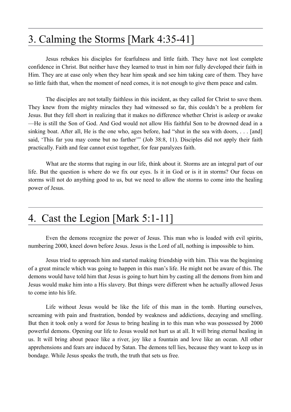#### 3. Calming the Storms [Mark 4:35-41]

Jesus rebukes his disciples for fearfulness and little faith. They have not lost complete confidence in Christ. But neither have they learned to trust in him nor fully developed their faith in Him. They are at ease only when they hear him speak and see him taking care of them. They have so little faith that, when the moment of need comes, it is not enough to give them peace and calm.

The disciples are not totally faithless in this incident, as they called for Christ to save them. They knew from the mighty miracles they had witnessed so far, this couldn't be a problem for Jesus. But they fell short in realizing that it makes no difference whether Christ is asleep or awake —He is still the Son of God. And God would not allow His faithful Son to be drowned dead in a sinking boat. After all, He is the one who, ages before, had "shut in the sea with doors, ... [and] said, 'This far you may come but no farther'" (Job 38:8, 11). Disciples did not apply their faith practically. Faith and fear cannot exist together, for fear paralyzes faith.

What are the storms that raging in our life, think about it. Storms are an integral part of our life. But the question is where do we fix our eyes. Is it in God or is it in storms? Our focus on storms will not do anything good to us, but we need to allow the storms to come into the healing power of Jesus.

#### 4. Cast the Legion [Mark 5:1-11]

Even the demons recognize the power of Jesus. This man who is loaded with evil spirits, numbering 2000, kneel down before Jesus. Jesus is the Lord of all, nothing is impossible to him.

Jesus tried to approach him and started making friendship with him. This was the beginning of a great miracle which was going to happen in this man's life. He might not be aware of this. The demons would have told him that Jesus is going to hurt him by casting all the demons from him and Jesus would make him into a His slavery. But things were different when he actually allowed Jesus to come into his life.

Life without Jesus would be like the life of this man in the tomb. Hurting ourselves, screaming with pain and frustration, bonded by weakness and addictions, decaying and smelling. But then it took only a word for Jesus to bring healing in to this man who was possessed by 2000 powerful demons. Opening our life to Jesus would not hurt us at all. It will bring eternal healing in us. It will bring about peace like a river, joy like a fountain and love like an ocean. All other apprehensions and fears are induced by Satan. The demons tell lies, because they want to keep us in bondage. While Jesus speaks the truth, the truth that sets us free.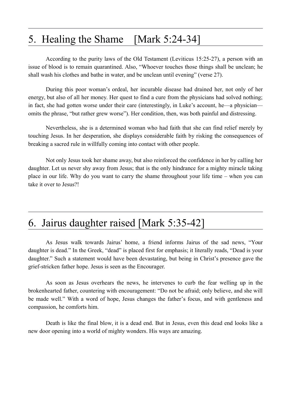#### 5. Healing the Shame [Mark 5:24-34]

According to the purity laws of the Old Testament (Leviticus 15:25-27), a person with an issue of blood is to remain quarantined. Also, "Whoever touches those things shall be unclean; he shall wash his clothes and bathe in water, and be unclean until evening" (verse 27).

During this poor woman's ordeal, her incurable disease had drained her, not only of her energy, but also of all her money. Her quest to find a cure from the physicians had solved nothing; in fact, she had gotten worse under their care (interestingly, in Luke's account, he—a physician omits the phrase, "but rather grew worse"). Her condition, then, was both painful and distressing.

Nevertheless, she is a determined woman who had faith that she can find relief merely by touching Jesus. In her desperation, she displays considerable faith by risking the consequences of breaking a sacred rule in willfully coming into contact with other people.

Not only Jesus took her shame away, but also reinforced the confidence in her by calling her daughter. Let us never shy away from Jesus; that is the only hindrance for a mighty miracle taking place in our life. Why do you want to carry the shame throughout your life time – when you can take it over to Jesus?!

#### 6. Jairus daughter raised [Mark 5:35-42]

As Jesus walk towards Jairus' home, a friend informs Jairus of the sad news, "Your daughter is dead." In the Greek, "dead" is placed first for emphasis; it literally reads, "Dead is your daughter." Such a statement would have been devastating, but being in Christ's presence gave the grief-stricken father hope. Jesus is seen as the Encourager.

As soon as Jesus overhears the news, he intervenes to curb the fear welling up in the brokenhearted father, countering with encouragement: "Do not be afraid; only believe, and she will be made well." With a word of hope, Jesus changes the father's focus, and with gentleness and compassion, he comforts him.

Death is like the final blow, it is a dead end. But in Jesus, even this dead end looks like a new door opening into a world of mighty wonders. His ways are amazing.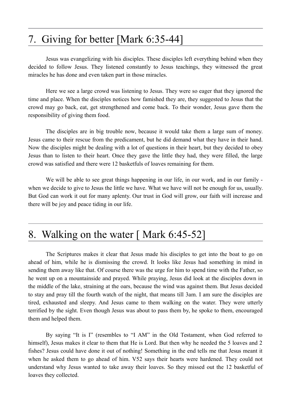#### 7. Giving for better [Mark 6:35-44]

Jesus was evangelizing with his disciples. These disciples left everything behind when they decided to follow Jesus. They listened constantly to Jesus teachings, they witnessed the great miracles he has done and even taken part in those miracles.

Here we see a large crowd was listening to Jesus. They were so eager that they ignored the time and place. When the disciples notices how famished they are, they suggested to Jesus that the crowd may go back, eat, get strengthened and come back. To their wonder, Jesus gave them the responsibility of giving them food.

The disciples are in big trouble now, because it would take them a large sum of money. Jesus came to their rescue from the predicament, but he did demand what they have in their hand. Now the disciples might be dealing with a lot of questions in their heart, but they decided to obey Jesus than to listen to their heart. Once they gave the little they had, they were filled, the large crowd was satisfied and there were 12 basketfuls of loaves remaining for them.

We will be able to see great things happening in our life, in our work, and in our family when we decide to give to Jesus the little we have. What we have will not be enough for us, usually. But God can work it out for many aplenty. Our trust in God will grow, our faith will increase and there will be joy and peace tiding in our life.

#### 8. Walking on the water [ Mark 6:45-52]

The Scriptures makes it clear that Jesus made his disciples to get into the boat to go on ahead of him, while he is dismissing the crowd. It looks like Jesus had something in mind in sending them away like that. Of course there was the urge for him to spend time with the Father, so he went up on a mountainside and prayed. While praying, Jesus did look at the disciples down in the middle of the lake, straining at the oars, because the wind was against them. But Jesus decided to stay and pray till the fourth watch of the night, that means till 3am. I am sure the disciples are tired, exhausted and sleepy. And Jesus came to them walking on the water. They were utterly terrified by the sight. Even though Jesus was about to pass them by, he spoke to them, encouraged them and helped them.

By saying "It is I" (resembles to "I AM" in the Old Testament, when God referred to himself), Jesus makes it clear to them that He is Lord. But then why he needed the 5 loaves and 2 fishes? Jesus could have done it out of nothing! Something in the end tells me that Jesus meant it when he asked them to go ahead of him. V52 says their hearts were hardened. They could not understand why Jesus wanted to take away their loaves. So they missed out the 12 basketful of loaves they collected.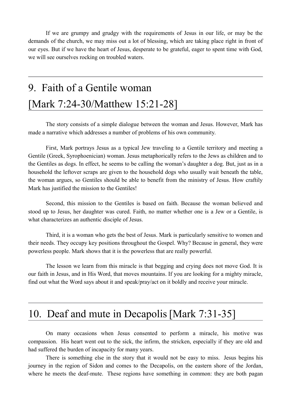If we are grumpy and grudgy with the requirements of Jesus in our life, or may be the demands of the church, we may miss out a lot of blessing, which are taking place right in front of our eyes. But if we have the heart of Jesus, desperate to be grateful, eager to spent time with God, we will see ourselves rocking on troubled waters.

# 9. Faith of a Gentile woman [Mark 7:24-30/Matthew 15:21-28]

The story consists of a simple dialogue between the woman and Jesus. However, Mark has made a narrative which addresses a number of problems of his own community.

First, Mark portrays Jesus as a typical Jew traveling to a Gentile territory and meeting a Gentile (Greek, Syrophoenician) woman. Jesus metaphorically refers to the Jews as children and to the Gentiles as dogs. In effect, he seems to be calling the woman's daughter a dog. But, just as in a household the leftover scraps are given to the household dogs who usually wait beneath the table, the woman argues, so Gentiles should be able to benefit from the ministry of Jesus. How craftily Mark has justified the mission to the Gentiles!

Second, this mission to the Gentiles is based on faith. Because the woman believed and stood up to Jesus, her daughter was cured. Faith, no matter whether one is a Jew or a Gentile, is what characterizes an authentic disciple of Jesus.

Third, it is a woman who gets the best of Jesus. Mark is particularly sensitive to women and their needs. They occupy key positions throughout the Gospel. Why? Because in general, they were powerless people. Mark shows that it is the powerless that are really powerful.

The lesson we learn from this miracle is that begging and crying does not move God. It is our faith in Jesus, and in His Word, that moves mountains. If you are looking for a mighty miracle, find out what the Word says about it and speak/pray/act on it boldly and receive your miracle.

#### 10. Deaf and mute in Decapolis[Mark 7:31-35]

On many occasions when Jesus consented to perform a miracle, his motive was compassion. His heart went out to the sick, the infirm, the stricken, especially if they are old and had suffered the burden of incapacity for many years.

There is something else in the story that it would not be easy to miss. Jesus begins his journey in the region of Sidon and comes to the Decapolis, on the eastern shore of the Jordan, where he meets the deaf-mute. These regions have something in common: they are both pagan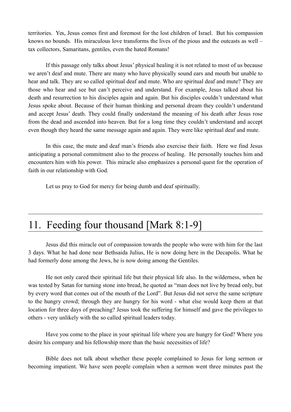territories. Yes, Jesus comes first and foremost for the lost children of Israel. But his compassion knows no bounds. His miraculous love transforms the lives of the pious and the outcasts as well – tax collectors, Samaritans, gentiles, even the hated Romans!

If this passage only talks about Jesus' physical healing it is not related to most of us because we aren't deaf and mute. There are many who have physically sound ears and mouth but unable to hear and talk. They are so called spiritual deaf and mute. Who are spiritual deaf and mute? They are those who hear and see but can't perceive and understand. For example, Jesus talked about his death and resurrection to his disciples again and again. But his disciples couldn't understand what Jesus spoke about. Because of their human thinking and personal dream they couldn't understand and accept Jesus' death. They could finally understand the meaning of his death after Jesus rose from the dead and ascended into heaven. But for a long time they couldn't understand and accept even though they heard the same message again and again. They were like spiritual deaf and mute.

In this case, the mute and deaf man's friends also exercise their faith. Here we find Jesus anticipating a personal commitment also to the process of healing. He personally touches him and encounters him with his power. This miracle also emphasizes a personal quest for the operation of faith in our relationship with God.

Let us pray to God for mercy for being dumb and deaf spiritually.

#### 11. Feeding four thousand [Mark 8:1-9]

Jesus did this miracle out of compassion towards the people who were with him for the last 3 days. What he had done near Bethsaida Julius, He is now doing here in the Decapolis. What he had formerly done among the Jews, he is now doing among the Gentiles.

He not only cared their spiritual life but their physical life also. In the wilderness, when he was tested by Satan for turning stone into bread, he quoted as "man does not live by bread only, but by every word that comes out of the mouth of the Lord". But Jesus did not serve the same scripture to the hungry crowd; through they are hungry for his word - what else would keep them at that location for three days of preaching? Jesus took the suffering for himself and gave the privileges to others - very unlikely with the so called spiritual leaders today.

Have you come to the place in your spiritual life where you are hungry for God? Where you desire his company and his fellowship more than the basic necessities of life?

Bible does not talk about whether these people complained to Jesus for long sermon or becoming impatient. We have seen people complain when a sermon went three minutes past the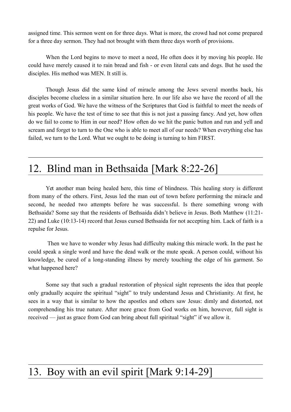assigned time. This sermon went on for three days. What is more, the crowd had not come prepared for a three day sermon. They had not brought with them three days worth of provisions.

When the Lord begins to move to meet a need, He often does it by moving his people. He could have merely caused it to rain bread and fish - or even literal cats and dogs. But he used the disciples. His method was MEN. It still is.

Though Jesus did the same kind of miracle among the Jews several months back, his disciples become clueless in a similar situation here. In our life also we have the record of all the great works of God. We have the witness of the Scriptures that God is faithful to meet the needs of his people. We have the test of time to see that this is not just a passing fancy. And yet, how often do we fail to come to Him in our need? How often do we hit the panic button and run and yell and scream and forget to turn to the One who is able to meet all of our needs? When everything else has failed, we turn to the Lord. What we ought to be doing is turning to him FIRST.

#### 12. Blind man in Bethsaida [Mark 8:22-26]

Yet another man being healed here, this time of blindness. This healing story is different from many of the others. First, Jesus led the man out of town before performing the miracle and second, he needed two attempts before he was successful. Is there something wrong with Bethsaida? Some say that the residents of Bethsaida didn't believe in Jesus. Both Matthew (11:21- 22) and Luke (10:13-14) record that Jesus cursed Bethsaida for not accepting him. Lack of faith is a repulse for Jesus.

 Then we have to wonder why Jesus had difficulty making this miracle work. In the past he could speak a single word and have the dead walk or the mute speak. A person could, without his knowledge, be cured of a long-standing illness by merely touching the edge of his garment. So what happened here?

Some say that such a gradual restoration of physical sight represents the idea that people only gradually acquire the spiritual "sight" to truly understand Jesus and Christianity. At first, he sees in a way that is similar to how the apostles and others saw Jesus: dimly and distorted, not comprehending his true nature. After more grace from God works on him, however, full sight is received — just as grace from God can bring about full spiritual "sight" if we allow it.

# 13. Boy with an evil spirit [Mark 9:14-29]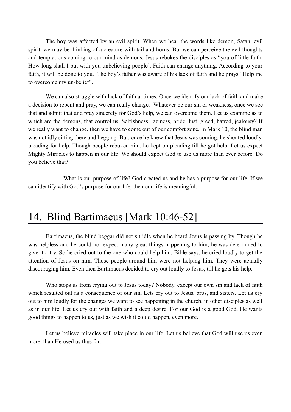The boy was affected by an evil spirit. When we hear the words like demon, Satan, evil spirit, we may be thinking of a creature with tail and horns. But we can perceive the evil thoughts and temptations coming to our mind as demons. Jesus rebukes the disciples as "you of little faith. How long shall I put with you unbelieving people'. Faith can change anything. According to your faith, it will be done to you. The boy's father was aware of his lack of faith and he prays "Help me to overcome my un-belief".

We can also struggle with lack of faith at times. Once we identify our lack of faith and make a decision to repent and pray, we can really change. Whatever be our sin or weakness, once we see that and admit that and pray sincerely for God's help, we can overcome them. Let us examine as to which are the demons, that control us. Selfishness, laziness, pride, lust, greed, hatred, jealousy? If we really want to change, then we have to come out of our comfort zone. In Mark 10, the blind man was not idly sitting there and begging. But, once he knew that Jesus was coming, he shouted loudly, pleading for help. Though people rebuked him, he kept on pleading till he got help. Let us expect Mighty Miracles to happen in our life. We should expect God to use us more than ever before. Do you believe that?

What is our purpose of life? God created us and he has a purpose for our life. If we can identify with God's purpose for our life, then our life is meaningful.

#### 14. Blind Bartimaeus [Mark 10:46-52]

Bartimaeus, the blind beggar did not sit idle when he heard Jesus is passing by. Though he was helpless and he could not expect many great things happening to him, he was determined to give it a try. So he cried out to the one who could help him. Bible says, he cried loudly to get the attention of Jesus on him. Those people around him were not helping him. They were actually discouraging him. Even then Bartimaeus decided to cry out loudly to Jesus, till he gets his help.

Who stops us from crying out to Jesus today? Nobody, except our own sin and lack of faith which resulted out as a consequence of our sin. Lets cry out to Jesus, bros, and sisters. Let us cry out to him loudly for the changes we want to see happening in the church, in other disciples as well as in our life. Let us cry out with faith and a deep desire. For our God is a good God, He wants good things to happen to us, just as we wish it could happen, even more.

Let us believe miracles will take place in our life. Let us believe that God will use us even more, than He used us thus far.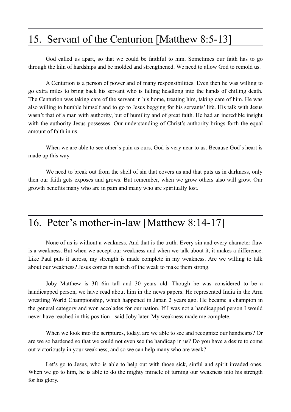#### 15. Servant of the Centurion [Matthew 8:5-13]

God called us apart, so that we could be faithful to him. Sometimes our faith has to go through the kiln of hardships and be molded and strengthened. We need to allow God to remold us.

A Centurion is a person of power and of many responsibilities. Even then he was willing to go extra miles to bring back his servant who is falling headlong into the hands of chilling death. The Centurion was taking care of the servant in his home, treating him, taking care of him. He was also willing to humble himself and to go to Jesus begging for his servants' life. His talk with Jesus wasn't that of a man with authority, but of humility and of great faith. He had an incredible insight with the authority Jesus possesses. Our understanding of Christ's authority brings forth the equal amount of faith in us.

When we are able to see other's pain as ours, God is very near to us. Because God's heart is made up this way.

We need to break out from the shell of sin that covers us and that puts us in darkness, only then our faith gets exposes and grows. But remember, when we grow others also will grow. Our growth benefits many who are in pain and many who are spiritually lost.

#### 16. Peter's mother-in-law [Matthew 8:14-17]

None of us is without a weakness. And that is the truth. Every sin and every character flaw is a weakness. But when we accept our weakness and when we talk about it, it makes a difference. Like Paul puts it across, my strength is made complete in my weakness. Are we willing to talk about our weakness? Jesus comes in search of the weak to make them strong.

Joby Matthew is 3ft 6in tall and 30 years old. Though he was considered to be a handicapped person, we have read about him in the news papers. He represented India in the Arm wrestling World Championship, which happened in Japan 2 years ago. He became a champion in the general category and won accolades for our nation. If I was not a handicapped person I would never have reached in this position - said Joby later. My weakness made me complete.

When we look into the scriptures, today, are we able to see and recognize our handicaps? Or are we so hardened so that we could not even see the handicap in us? Do you have a desire to come out victoriously in your weakness, and so we can help many who are weak?

Let's go to Jesus, who is able to help out with those sick, sinful and spirit invaded ones. When we go to him, he is able to do the mighty miracle of turning our weakness into his strength for his glory.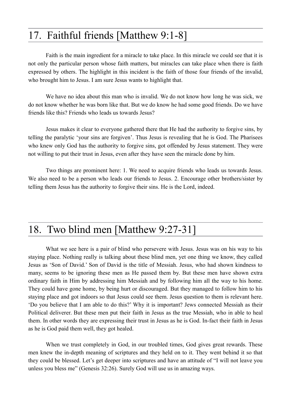#### 17. Faithful friends [Matthew 9:1-8]

Faith is the main ingredient for a miracle to take place. In this miracle we could see that it is not only the particular person whose faith matters, but miracles can take place when there is faith expressed by others. The highlight in this incident is the faith of those four friends of the invalid, who brought him to Jesus. I am sure Jesus wants to highlight that.

We have no idea about this man who is invalid. We do not know how long he was sick, we do not know whether he was born like that. But we do know he had some good friends. Do we have friends like this? Friends who leads us towards Jesus?

Jesus makes it clear to everyone gathered there that He had the authority to forgive sins, by telling the paralytic 'your sins are forgiven'. Thus Jesus is revealing that he is God. The Pharisees who knew only God has the authority to forgive sins, got offended by Jesus statement. They were not willing to put their trust in Jesus, even after they have seen the miracle done by him.

Two things are prominent here: 1. We need to acquire friends who leads us towards Jesus. We also need to be a person who leads our friends to Jesus. 2. Encourage other brothers/sister by telling them Jesus has the authority to forgive their sins. He is the Lord, indeed.

# 18. Two blind men [Matthew 9:27-31]

What we see here is a pair of blind who persevere with Jesus. Jesus was on his way to his staying place. Nothing really is talking about these blind men, yet one thing we know, they called Jesus as 'Son of David.' Son of David is the title of Messiah. Jesus, who had shown kindness to many, seems to be ignoring these men as He passed them by. But these men have shown extra ordinary faith in Him by addressing him Messiah and by following him all the way to his home. They could have gone home, by being hurt or discouraged. But they managed to follow him to his staying place and got indoors so that Jesus could see them. Jesus question to them is relevant here. 'Do you believe that I am able to do this?' Why it is important? Jews connected Messiah as their Political deliverer. But these men put their faith in Jesus as the true Messiah, who in able to heal them. In other words they are expressing their trust in Jesus as he is God. In-fact their faith in Jesus as he is God paid them well, they got healed.

When we trust completely in God, in our troubled times, God gives great rewards. These men knew the in-depth meaning of scriptures and they held on to it. They went behind it so that they could be blessed. Let's get deeper into scriptures and have an attitude of "I will not leave you unless you bless me" (Genesis 32:26). Surely God will use us in amazing ways.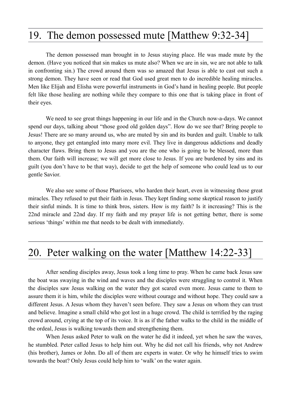#### 19. The demon possessed mute [Matthew 9:32-34]

The demon possessed man brought in to Jesus staying place. He was made mute by the demon. (Have you noticed that sin makes us mute also? When we are in sin, we are not able to talk in confronting sin.) The crowd around them was so amazed that Jesus is able to cast out such a strong demon. They have seen or read that God used great men to do incredible healing miracles. Men like Elijah and Elisha were powerful instruments in God's hand in healing people. But people felt like those healing are nothing while they compare to this one that is taking place in front of their eyes.

We need to see great things happening in our life and in the Church now-a-days. We cannot spend our days, talking about "those good old golden days". How do we see that? Bring people to Jesus! There are so many around us, who are muted by sin and its burden and guilt. Unable to talk to anyone, they get entangled into many more evil. They live in dangerous addictions and deadly character flaws. Bring them to Jesus and you are the one who is going to be blessed, more than them. Our faith will increase; we will get more close to Jesus. If you are burdened by sins and its guilt (you don't have to be that way), decide to get the help of someone who could lead us to our gentle Savior.

We also see some of those Pharisees, who harden their heart, even in witnessing those great miracles. They refused to put their faith in Jesus. They kept finding some skeptical reason to justify their sinful minds. It is time to think bros, sisters. How is my faith? Is it increasing? This is the 22nd miracle and 22nd day. If my faith and my prayer life is not getting better, there is some serious 'things' within me that needs to be dealt with immediately.

#### 20. Peter walking on the water [Matthew 14:22-33]

After sending disciples away, Jesus took a long time to pray. When he came back Jesus saw the boat was swaying in the wind and waves and the disciples were struggling to control it. When the disciples saw Jesus walking on the water they got scared even more. Jesus came to them to assure them it is him, while the disciples were without courage and without hope. They could saw a different Jesus. A Jesus whom they haven't seen before. They saw a Jesus on whom they can trust and believe. Imagine a small child who got lost in a huge crowd. The child is terrified by the raging crowd around, crying at the top of its voice. It is as if the father walks to the child in the middle of the ordeal, Jesus is walking towards them and strengthening them.

When Jesus asked Peter to walk on the water he did it indeed, yet when he saw the waves, he stumbled. Peter called Jesus to help him out. Why he did not call his friends, why not Andrew (his brother), James or John. Do all of them are experts in water. Or why he himself tries to swim towards the boat? Only Jesus could help him to 'walk' on the water again.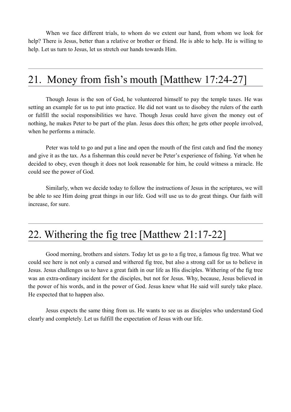When we face different trials, to whom do we extent our hand, from whom we look for help? There is Jesus, better than a relative or brother or friend. He is able to help. He is willing to help. Let us turn to Jesus, let us stretch our hands towards Him.

#### 21. Money from fish's mouth [Matthew 17:24-27]

Though Jesus is the son of God, he volunteered himself to pay the temple taxes. He was setting an example for us to put into practice. He did not want us to disobey the rulers of the earth or fulfill the social responsibilities we have. Though Jesus could have given the money out of nothing, he makes Peter to be part of the plan. Jesus does this often; he gets other people involved, when he performs a miracle.

Peter was told to go and put a line and open the mouth of the first catch and find the money and give it as the tax. As a fisherman this could never be Peter's experience of fishing. Yet when he decided to obey, even though it does not look reasonable for him, he could witness a miracle. He could see the power of God.

Similarly, when we decide today to follow the instructions of Jesus in the scriptures, we will be able to see Him doing great things in our life. God will use us to do great things. Our faith will increase, for sure.

#### 22. Withering the fig tree [Matthew 21:17-22]

Good morning, brothers and sisters. Today let us go to a fig tree, a famous fig tree. What we could see here is not only a cursed and withered fig tree, but also a strong call for us to believe in Jesus. Jesus challenges us to have a great faith in our life as His disciples. Withering of the fig tree was an extra-ordinary incident for the disciples, but not for Jesus. Why, because, Jesus believed in the power of his words, and in the power of God. Jesus knew what He said will surely take place. He expected that to happen also.

Jesus expects the same thing from us. He wants to see us as disciples who understand God clearly and completely. Let us fulfill the expectation of Jesus with our life.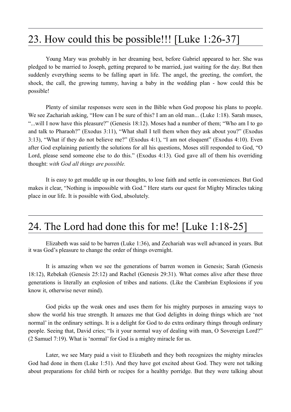#### 23. How could this be possible!!! [Luke 1:26-37]

Young Mary was probably in her dreaming best, before Gabriel appeared to her. She was pledged to be married to Joseph, getting prepared to be married, just waiting for the day. But then suddenly everything seems to be falling apart in life. The angel, the greeting, the comfort, the shock, the call, the growing tummy, having a baby in the wedding plan - how could this be possible!

Plenty of similar responses were seen in the Bible when God propose his plans to people. We see Zachariah asking, "How can I be sure of this? I am an old man... (Luke 1:18). Sarah muses, "...will I now have this pleasure?" (Genesis 18:12). Moses had a number of them; "Who am I to go and talk to Pharaoh?" (Exodus 3:11), "What shall I tell them when they ask about you?" (Exodus 3:13), "What if they do not believe me?" (Exodus 4:1), "I am not eloquent" (Exodus 4:10). Even after God explaining patiently the solutions for all his questions, Moses still responded to God, "O Lord, please send someone else to do this." (Exodus 4:13). God gave all of them his overriding thought: *with God all things are possible.*

It is easy to get muddle up in our thoughts, to lose faith and settle in conveniences. But God makes it clear, "Nothing is impossible with God." Here starts our quest for Mighty Miracles taking place in our life. It is possible with God, absolutely.

#### 24. The Lord had done this for me! [Luke 1:18-25]

Elizabeth was said to be barren (Luke 1:36), and Zechariah was well advanced in years. But it was God's pleasure to change the order of things overnight.

It is amazing when we see the generations of barren women in Genesis; Sarah (Genesis 18:12), Rebekah (Genesis 25:12) and Rachel (Genesis 29:31). What comes alive after these three generations is literally an explosion of tribes and nations. (Like the Cambrian Explosions if you know it, otherwise never mind).

God picks up the weak ones and uses them for his mighty purposes in amazing ways to show the world his true strength. It amazes me that God delights in doing things which are 'not normal' in the ordinary settings. It is a delight for God to do extra ordinary things through ordinary people. Seeing that, David cries; "Is it your normal way of dealing with man, O Sovereign Lord?" (2 Samuel 7:19). What is 'normal' for God is a mighty miracle for us.

Later, we see Mary paid a visit to Elizabeth and they both recognizes the mighty miracles God had done in them (Luke 1:51). And they have got excited about God. They were not talking about preparations for child birth or recipes for a healthy porridge. But they were talking about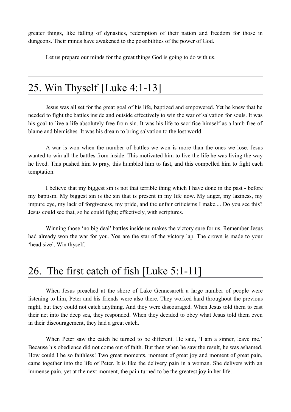greater things, like falling of dynasties, redemption of their nation and freedom for those in dungeons. Their minds have awakened to the possibilities of the power of God.

Let us prepare our minds for the great things God is going to do with us.

#### 25. Win Thyself [Luke 4:1-13]

Jesus was all set for the great goal of his life, baptized and empowered. Yet he knew that he needed to fight the battles inside and outside effectively to win the war of salvation for souls. It was his goal to live a life absolutely free from sin. It was his life to sacrifice himself as a lamb free of blame and blemishes. It was his dream to bring salvation to the lost world.

A war is won when the number of battles we won is more than the ones we lose. Jesus wanted to win all the battles from inside. This motivated him to live the life he was living the way he lived. This pushed him to pray, this humbled him to fast, and this compelled him to fight each temptation.

I believe that my biggest sin is not that terrible thing which I have done in the past - before my baptism. My biggest sin is the sin that is present in my life now. My anger, my laziness, my impure eye, my lack of forgiveness, my pride, and the unfair criticisms I make.... Do you see this? Jesus could see that, so he could fight; effectively, with scriptures.

Winning those 'no big deal' battles inside us makes the victory sure for us. Remember Jesus had already won the war for you. You are the star of the victory lap. The crown is made to your 'head size'. Win thyself.

#### 26. The first catch of fish [Luke 5:1-11]

When Jesus preached at the shore of Lake Gennesareth a large number of people were listening to him, Peter and his friends were also there. They worked hard throughout the previous night, but they could not catch anything. And they were discouraged. When Jesus told them to cast their net into the deep sea, they responded. When they decided to obey what Jesus told them even in their discouragement, they had a great catch.

When Peter saw the catch he turned to be different. He said, 'I am a sinner, leave me.' Because his obedience did not come out of faith. But then when he saw the result, he was ashamed. How could I be so faithless! Two great moments, moment of great joy and moment of great pain, came together into the life of Peter. It is like the delivery pain in a woman. She delivers with an immense pain, yet at the next moment, the pain turned to be the greatest joy in her life.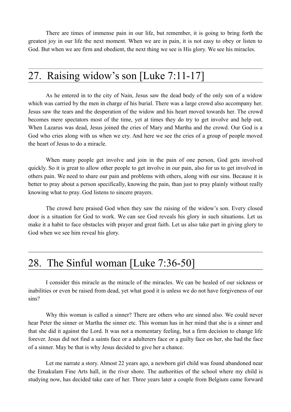There are times of immense pain in our life, but remember, it is going to bring forth the greatest joy in our life the next moment. When we are in pain, it is not easy to obey or listen to God. But when we are firm and obedient, the next thing we see is His glory. We see his miracles.

#### 27. Raising widow's son [Luke 7:11-17]

As he entered in to the city of Nain, Jesus saw the dead body of the only son of a widow which was carried by the men in charge of his burial. There was a large crowd also accompany her. Jesus saw the tears and the desperation of the widow and his heart moved towards her. The crowd becomes mere spectators most of the time, yet at times they do try to get involve and help out. When Lazarus was dead, Jesus joined the cries of Mary and Martha and the crowd. Our God is a God who cries along with us when we cry. And here we see the cries of a group of people moved the heart of Jesus to do a miracle.

When many people get involve and join in the pain of one person, God gets involved quickly. So it is great to allow other people to get involve in our pain, also for us to get involved in others pain. We need to share our pain and problems with others, along with our sins. Because it is better to pray about a person specifically, knowing the pain, than just to pray plainly without really knowing what to pray. God listens to sincere prayers.

The crowd here praised God when they saw the raising of the widow's son. Every closed door is a situation for God to work. We can see God reveals his glory in such situations. Let us make it a habit to face obstacles with prayer and great faith. Let us also take part in giving glory to God when we see him reveal his glory.

#### 28. The Sinful woman [Luke 7:36-50]

I consider this miracle as the miracle of the miracles. We can be healed of our sickness or inabilities or even be raised from dead, yet what good it is unless we do not have forgiveness of our sins?

Why this woman is called a sinner? There are others who are sinned also. We could never hear Peter the sinner or Martha the sinner etc. This woman has in her mind that she is a sinner and that she did it against the Lord. It was not a momentary feeling, but a firm decision to change life forever. Jesus did not find a saints face or a adulterers face or a guilty face on her, she had the face of a sinner. May be that is why Jesus decided to give her a chance.

Let me narrate a story. Almost 22 years ago, a newborn girl child was found abandoned near the Ernakulam Fine Arts hall, in the river shore. The authorities of the school where my child is studying now, has decided take care of her. Three years later a couple from Belgium came forward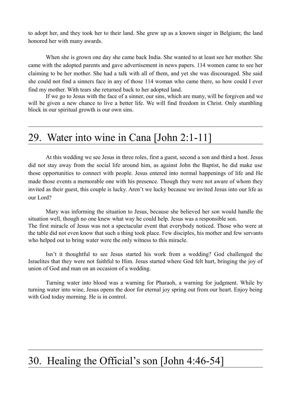to adopt her, and they took her to their land. She grew up as a known singer in Belgium; the land honored her with many awards.

When she is grown one day she came back India. She wanted to at least see her mother. She came with the adopted parents and gave advertisement in news papers. 114 women came to see her claiming to be her mother. She had a talk with all of them, and yet she was discouraged. She said she could not find a sinners face in any of those 114 woman who came there, so how could I ever find my mother. With tears she returned back to her adopted land.

If we go to Jesus with the face of a sinner, our sins, which are many, will be forgiven and we will be given a new chance to live a better life. We will find freedom in Christ. Only stumbling block in our spiritual growth is our own sins.

#### 29. Water into wine in Cana [John 2:1-11]

At this wedding we see Jesus in three roles, first a guest, second a son and third a host. Jesus did not stay away from the social life around him, as against John the Baptist, he did make use those opportunities to connect with people. Jesus entered into normal happenings of life and He made those events a memorable one with his presence. Though they were not aware of whom they invited as their guest, this couple is lucky. Aren't we lucky because we invited Jesus into our life as our Lord?

Mary was informing the situation to Jesus, because she believed her son would handle the situation well, though no one knew what way he could help. Jesus was a responsible son. The first miracle of Jesus was not a spectacular event that everybody noticed. Those who were at the table did not even know that such a thing took place. Few disciples, his mother and few servants who helped out to bring water were the only witness to this miracle.

Isn't it thoughtful to see Jesus started his work from a wedding? God challenged the Israelites that they were not faithful to Him. Jesus started where God felt hurt, bringing the joy of union of God and man on an occasion of a wedding.

Turning water into blood was a warning for Pharaoh, a warning for judgment. While by turning water into wine, Jesus opens the door for eternal joy spring out from our heart. Enjoy being with God today morning. He is in control.

#### 30. Healing the Official's son [John 4:46-54]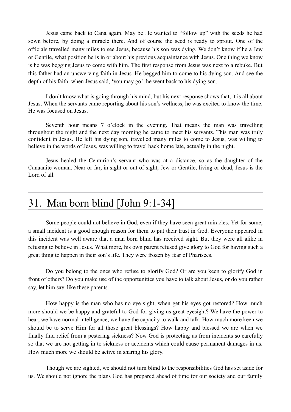Jesus came back to Cana again. May be He wanted to "follow up" with the seeds he had sown before, by doing a miracle there. And of course the seed is ready to sprout. One of the officials travelled many miles to see Jesus, because his son was dying. We don't know if he a Jew or Gentile, what position he is in or about his previous acquaintance with Jesus. One thing we know is he was begging Jesus to come with him. The first response from Jesus was next to a rebuke. But this father had an unswerving faith in Jesus. He begged him to come to his dying son. And see the depth of his faith, when Jesus said, 'you may go', he went back to his dying son.

I don't know what is going through his mind, but his next response shows that, it is all about Jesus. When the servants came reporting about his son's wellness, he was excited to know the time. He was focused on Jesus.

Seventh hour means 7 o'clock in the evening. That means the man was travelling throughout the night and the next day morning he came to meet his servants. This man was truly confident in Jesus. He left his dying son, travelled many miles to come to Jesus, was willing to believe in the words of Jesus, was willing to travel back home late, actually in the night.

Jesus healed the Centurion's servant who was at a distance, so as the daughter of the Canaanite woman. Near or far, in sight or out of sight, Jew or Gentile, living or dead, Jesus is the Lord of all.

#### 31. Man born blind [John 9:1-34]

Some people could not believe in God, even if they have seen great miracles. Yet for some, a small incident is a good enough reason for them to put their trust in God. Everyone appeared in this incident was well aware that a man born blind has received sight. But they were all alike in refusing to believe in Jesus. What more, his own parent refused give glory to God for having such a great thing to happen in their son's life. They were frozen by fear of Pharisees.

Do you belong to the ones who refuse to glorify God? Or are you keen to glorify God in front of others? Do you make use of the opportunities you have to talk about Jesus, or do you rather say, let him say, like these parents.

How happy is the man who has no eye sight, when get his eyes got restored? How much more should we be happy and grateful to God for giving us great eyesight? We have the power to hear, we have normal intelligence, we have the capacity to walk and talk. How much more keen we should be to serve Him for all those great blessings? How happy and blessed we are when we finally find relief from a pestering sickness? Now God is protecting us from incidents so carefully so that we are not getting in to sickness or accidents which could cause permanent damages in us. How much more we should be active in sharing his glory.

Though we are sighted, we should not turn blind to the responsibilities God has set aside for us. We should not ignore the plans God has prepared ahead of time for our society and our family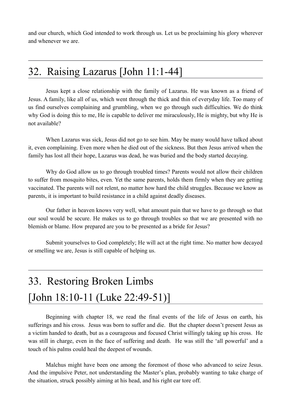and our church, which God intended to work through us. Let us be proclaiming his glory wherever and whenever we are.

#### 32. Raising Lazarus [John 11:1-44]

Jesus kept a close relationship with the family of Lazarus. He was known as a friend of Jesus. A family, like all of us, which went through the thick and thin of everyday life. Too many of us find ourselves complaining and grumbling, when we go through such difficulties. We do think why God is doing this to me, He is capable to deliver me miraculously, He is mighty, but why He is not available?

When Lazarus was sick, Jesus did not go to see him. May be many would have talked about it, even complaining. Even more when he died out of the sickness. But then Jesus arrived when the family has lost all their hope, Lazarus was dead, he was buried and the body started decaying.

Why do God allow us to go through troubled times? Parents would not allow their children to suffer from mosquito bites, even. Yet the same parents, holds them firmly when they are getting vaccinated. The parents will not relent, no matter how hard the child struggles. Because we know as parents, it is important to build resistance in a child against deadly diseases.

Our father in heaven knows very well, what amount pain that we have to go through so that our soul would be secure. He makes us to go through troubles so that we are presented with no blemish or blame. How prepared are you to be presented as a bride for Jesus?

Submit yourselves to God completely; He will act at the right time. No matter how decayed or smelling we are, Jesus is still capable of helping us.

# 33. Restoring Broken Limbs [John 18:10-11 (Luke 22:49-51)]

Beginning with chapter 18, we read the final events of the life of Jesus on earth, his sufferings and his cross. Jesus was born to suffer and die. But the chapter doesn't present Jesus as a victim handed to death, but as a courageous and focused Christ willingly taking up his cross. He was still in charge, even in the face of suffering and death. He was still the 'all powerful' and a touch of his palms could heal the deepest of wounds.

Malchus might have been one among the foremost of those who advanced to seize Jesus. And the impulsive Peter, not understanding the Master's plan, probably wanting to take charge of the situation, struck possibly aiming at his head, and his right ear tore off.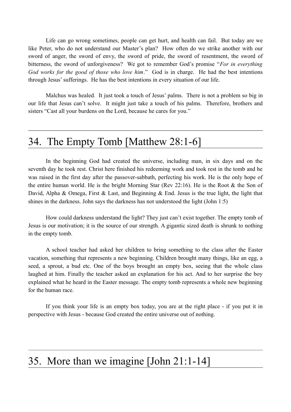Life can go wrong sometimes, people can get hurt, and health can fail. But today are we like Peter, who do not understand our Master's plan? How often do we strike another with our sword of anger, the sword of envy, the sword of pride, the sword of resentment, the sword of bitterness, the sword of unforgiveness? We got to remember God's promise "*For in everything God works for the good of those who love him*." God is in charge. He had the best intentions through Jesus' sufferings. He has the best intentions in every situation of our life.

Malchus was healed. It just took a touch of Jesus' palms. There is not a problem so big in our life that Jesus can't solve. It might just take a touch of his palms. Therefore, brothers and sisters "Cast all your burdens on the Lord, because he cares for you."

#### 34. The Empty Tomb [Matthew 28:1-6]

In the beginning God had created the universe, including man, in six days and on the seventh day he took rest. Christ here finished his redeeming work and took rest in the tomb and he was raised in the first day after the passover-sabbath, perfecting his work. He is the only hope of the entire human world. He is the bright Morning Star (Rev 22:16). He is the Root  $\&$  the Son of David, Alpha & Omega, First & Last, and Beginning & End. Jesus is the true light, the light that shines in the darkness. John says the darkness has not understood the light (John 1:5)

How could darkness understand the light? They just can't exist together. The empty tomb of Jesus is our motivation; it is the source of our strength. A gigantic sized death is shrunk to nothing in the empty tomb.

A school teacher had asked her children to bring something to the class after the Easter vacation, something that represents a new beginning. Children brought many things, like an egg, a seed, a sprout, a bud etc. One of the boys brought an empty box, seeing that the whole class laughed at him. Finally the teacher asked an explanation for his act. And to her surprise the boy explained what he heard in the Easter message. The empty tomb represents a whole new beginning for the human race.

If you think your life is an empty box today, you are at the right place - if you put it in perspective with Jesus - because God created the entire universe out of nothing.

#### 35. More than we imagine [John 21:1-14]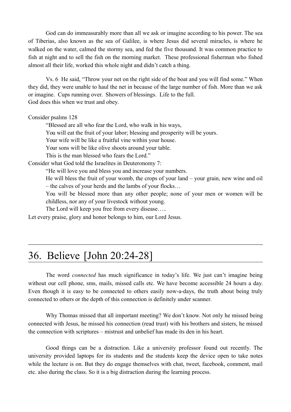God can do immeasurably more than all we ask or imagine according to his power. The sea of Tiberias, also known as the sea of Galilee, is where Jesus did several miracles, is where he walked on the water, calmed the stormy sea, and fed the five thousand. It was common practice to fish at night and to sell the fish on the morning market. These professional fisherman who fished almost all their life, worked this whole night and didn't catch a thing.

Vs. 6 He said, "Throw your net on the right side of the boat and you will find some." When they did, they were unable to haul the net in because of the large number of fish. More than we ask or imagine. Cups running over. Showers of blessings. Life to the full. God does this when we trust and obey.

#### Consider psalms 128

"Blessed are all who fear the Lord, who walk in his ways,

You will eat the fruit of your labor; blessing and prosperity will be yours.

Your wife will be like a fruitful vine within your house.

Your sons will be like olive shoots around your table.

This is the man blessed who fears the Lord."

Consider what God told the Israelites in Deuteronomy 7:

"He will love you and bless you and increase your numbers.

He will bless the fruit of your womb, the crops of your land – your grain, new wine and oil – the calves of your herds and the lambs of your flocks…

You will be blessed more than any other people; none of your men or women will be childless, nor any of your livestock without young.

The Lord will keep you free from every disease…..

Let every praise, glory and honor belongs to him, our Lord Jesus.

### 36. Believe [John 20:24-28]

The word *connected* has much significance in today's life. We just can't imagine being without our cell phone, sms, mails, missed calls etc. We have become accessible 24 hours a day. Even though it is easy to be connected to others easily now-a-days, the truth about being truly connected to others or the depth of this connection is definitely under scanner.

Why Thomas missed that all important meeting? We don't know. Not only he missed being connected with Jesus, he missed his connection (read trust) with his brothers and sisters, he missed the connection with scriptures – mistrust and unbelief has made its den in his heart.

Good things can be a distraction. Like a university professor found out recently. The university provided laptops for its students and the students keep the device open to take notes while the lecture is on. But they do engage themselves with chat, tweet, facebook, comment, mail etc. also during the class. So it is a big distraction during the learning process.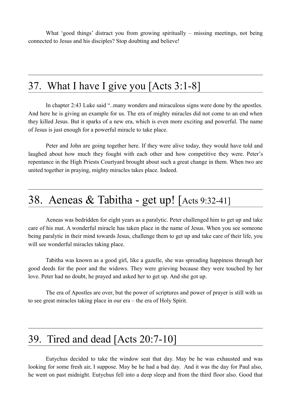What 'good things' distract you from growing spiritually – missing meetings, not being connected to Jesus and his disciples? Stop doubting and believe!

### 37. What I have I give you [Acts 3:1-8]

In chapter 2:43 Luke said "..many wonders and miraculous signs were done by the apostles. And here he is giving an example for us. The era of mighty miracles did not come to an end when they killed Jesus. But it sparks of a new era, which is even more exciting and powerful. The name of Jesus is just enough for a powerful miracle to take place.

Peter and John are going together here. If they were alive today, they would have told and laughed about how much they fought with each other and how competitive they were. Peter's repentance in the High Priests Courtyard brought about such a great change in them. When two are united together in praying, mighty miracles takes place. Indeed.

#### 38. Aeneas & Tabitha - get up! [Acts 9:32-41]

Aeneas was bedridden for eight years as a paralytic. Peter challenged him to get up and take care of his mat. A wonderful miracle has taken place in the name of Jesus. When you see someone being paralytic in their mind towards Jesus, challenge them to get up and take care of their life, you will see wonderful miracles taking place.

Tabitha was known as a good girl, like a gazelle, she was spreading happiness through her good deeds for the poor and the widows. They were grieving because they were touched by her love. Peter had no doubt, he prayed and asked her to get up. And she got up.

The era of Apostles are over, but the power of scriptures and power of prayer is still with us to see great miracles taking place in our era – the era of Holy Spirit.

#### 39. Tired and dead [Acts 20:7-10]

Eutychus decided to take the window seat that day. May be he was exhausted and was looking for some fresh air, I suppose. May be he had a bad day. And it was the day for Paul also, he went on past midnight. Eutychus fell into a deep sleep and from the third floor also. Good that